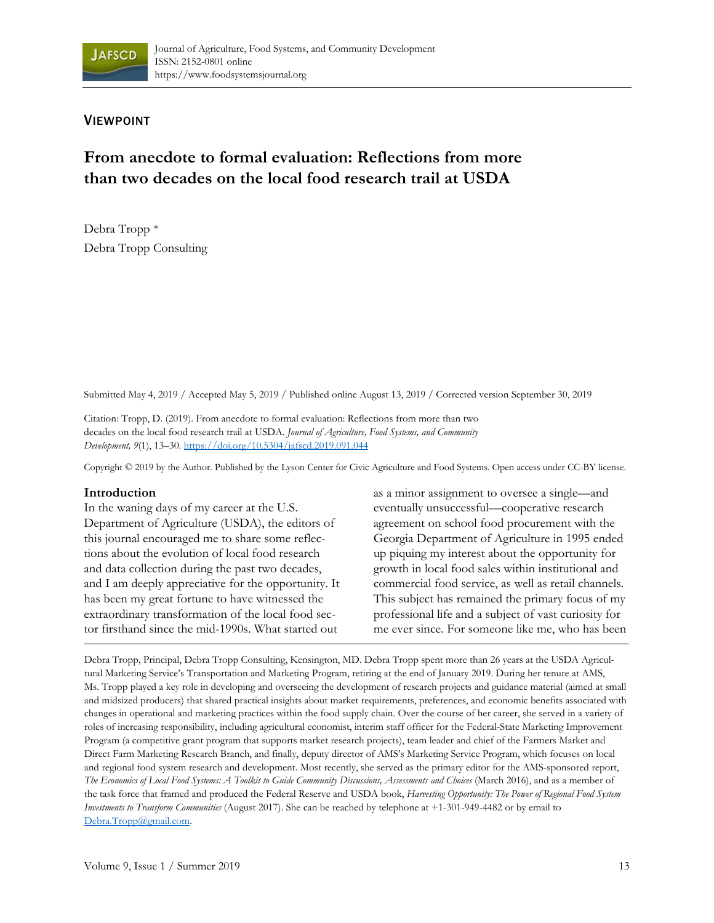

## VIEWPOINT

# **From anecdote to formal evaluation: Reflections from more than two decades on the local food research trail at USDA**

Debra Tropp \* Debra Tropp Consulting

Submitted May 4, 2019 / Accepted May 5, 2019 / Published online August 13, 2019 / Corrected version September 30, 2019

Citation: Tropp, D. (2019). From anecdote to formal evaluation: Reflections from more than two decades on the local food research trail at USDA. *Journal of Agriculture, Food Systems, and Community Development, 9*(1), 13–30. https://doi.org/10.5304/jafscd.2019.091.044

Copyright © 2019 by the Author. Published by the Lyson Center for Civic Agriculture and Food Systems. Open access under CC-BY license.

#### **Introduction**

In the waning days of my career at the U.S. Department of Agriculture (USDA), the editors of this journal encouraged me to share some reflections about the evolution of local food research and data collection during the past two decades, and I am deeply appreciative for the opportunity. It has been my great fortune to have witnessed the extraordinary transformation of the local food sector firsthand since the mid-1990s. What started out

as a minor assignment to oversee a single—and eventually unsuccessful—cooperative research agreement on school food procurement with the Georgia Department of Agriculture in 1995 ended up piquing my interest about the opportunity for growth in local food sales within institutional and commercial food service, as well as retail channels. This subject has remained the primary focus of my professional life and a subject of vast curiosity for me ever since. For someone like me, who has been

Debra Tropp, Principal, Debra Tropp Consulting, Kensington, MD. Debra Tropp spent more than 26 years at the USDA Agricultural Marketing Service's Transportation and Marketing Program, retiring at the end of January 2019. During her tenure at AMS, Ms. Tropp played a key role in developing and overseeing the development of research projects and guidance material (aimed at small and midsized producers) that shared practical insights about market requirements, preferences, and economic benefits associated with changes in operational and marketing practices within the food supply chain. Over the course of her career, she served in a variety of roles of increasing responsibility, including agricultural economist, interim staff officer for the Federal-State Marketing Improvement Program (a competitive grant program that supports market research projects), team leader and chief of the Farmers Market and Direct Farm Marketing Research Branch, and finally, deputy director of AMS's Marketing Service Program, which focuses on local and regional food system research and development. Most recently, she served as the primary editor for the AMS-sponsored report, *The Economics of Local Food Systems: A Toolkit to Guide Community Discussions, Assessments and Choices* (March 2016), and as a member of the task force that framed and produced the Federal Reserve and USDA book, *Harvesting Opportunity: The Power of Regional Food System Investments to Transform Communities* (August 2017). She can be reached by telephone at +1-301-949-4482 or by email to Debra.Tropp@gmail.com.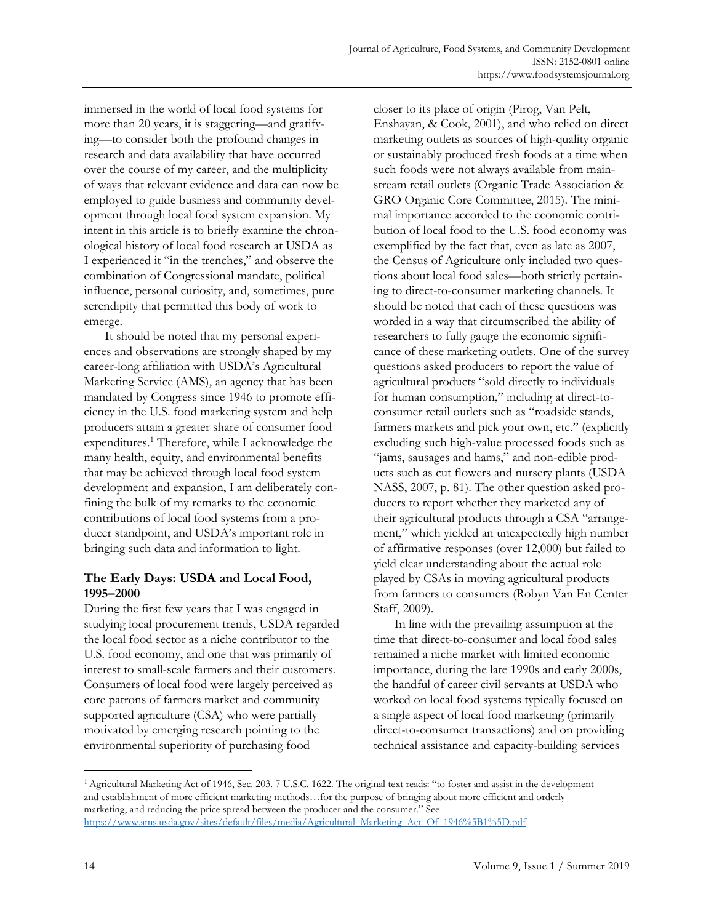immersed in the world of local food systems for more than 20 years, it is staggering—and gratifying—to consider both the profound changes in research and data availability that have occurred over the course of my career, and the multiplicity of ways that relevant evidence and data can now be employed to guide business and community development through local food system expansion. My intent in this article is to briefly examine the chronological history of local food research at USDA as I experienced it "in the trenches," and observe the combination of Congressional mandate, political influence, personal curiosity, and, sometimes, pure serendipity that permitted this body of work to emerge.

 It should be noted that my personal experiences and observations are strongly shaped by my career-long affiliation with USDA's Agricultural Marketing Service (AMS), an agency that has been mandated by Congress since 1946 to promote efficiency in the U.S. food marketing system and help producers attain a greater share of consumer food expenditures.<sup>1</sup> Therefore, while I acknowledge the many health, equity, and environmental benefits that may be achieved through local food system development and expansion, I am deliberately confining the bulk of my remarks to the economic contributions of local food systems from a producer standpoint, and USDA's important role in bringing such data and information to light.

## **The Early Days: USDA and Local Food, 1995–2000**

During the first few years that I was engaged in studying local procurement trends, USDA regarded the local food sector as a niche contributor to the U.S. food economy, and one that was primarily of interest to small-scale farmers and their customers. Consumers of local food were largely perceived as core patrons of farmers market and community supported agriculture (CSA) who were partially motivated by emerging research pointing to the environmental superiority of purchasing food

closer to its place of origin (Pirog, Van Pelt, Enshayan, & Cook, 2001), and who relied on direct marketing outlets as sources of high-quality organic or sustainably produced fresh foods at a time when such foods were not always available from mainstream retail outlets (Organic Trade Association & GRO Organic Core Committee, 2015). The minimal importance accorded to the economic contribution of local food to the U.S. food economy was exemplified by the fact that, even as late as 2007, the Census of Agriculture only included two questions about local food sales—both strictly pertaining to direct-to-consumer marketing channels. It should be noted that each of these questions was worded in a way that circumscribed the ability of researchers to fully gauge the economic significance of these marketing outlets. One of the survey questions asked producers to report the value of agricultural products "sold directly to individuals for human consumption," including at direct-toconsumer retail outlets such as "roadside stands, farmers markets and pick your own, etc." (explicitly excluding such high-value processed foods such as "jams, sausages and hams," and non-edible products such as cut flowers and nursery plants (USDA NASS, 2007, p. 81). The other question asked producers to report whether they marketed any of their agricultural products through a CSA "arrangement," which yielded an unexpectedly high number of affirmative responses (over 12,000) but failed to yield clear understanding about the actual role played by CSAs in moving agricultural products from farmers to consumers (Robyn Van En Center Staff, 2009).

 In line with the prevailing assumption at the time that direct-to-consumer and local food sales remained a niche market with limited economic importance, during the late 1990s and early 2000s, the handful of career civil servants at USDA who worked on local food systems typically focused on a single aspect of local food marketing (primarily direct-to-consumer transactions) and on providing technical assistance and capacity-building services

<sup>1</sup> Agricultural Marketing Act of 1946, Sec. 203. 7 U.S.C. 1622. The original text reads: "to foster and assist in the development and establishment of more efficient marketing methods…for the purpose of bringing about more efficient and orderly marketing, and reducing the price spread between the producer and the consumer." See https://www.ams.usda.gov/sites/default/files/media/Agricultural\_Marketing\_Act\_Of\_1946%5B1%5D.pdf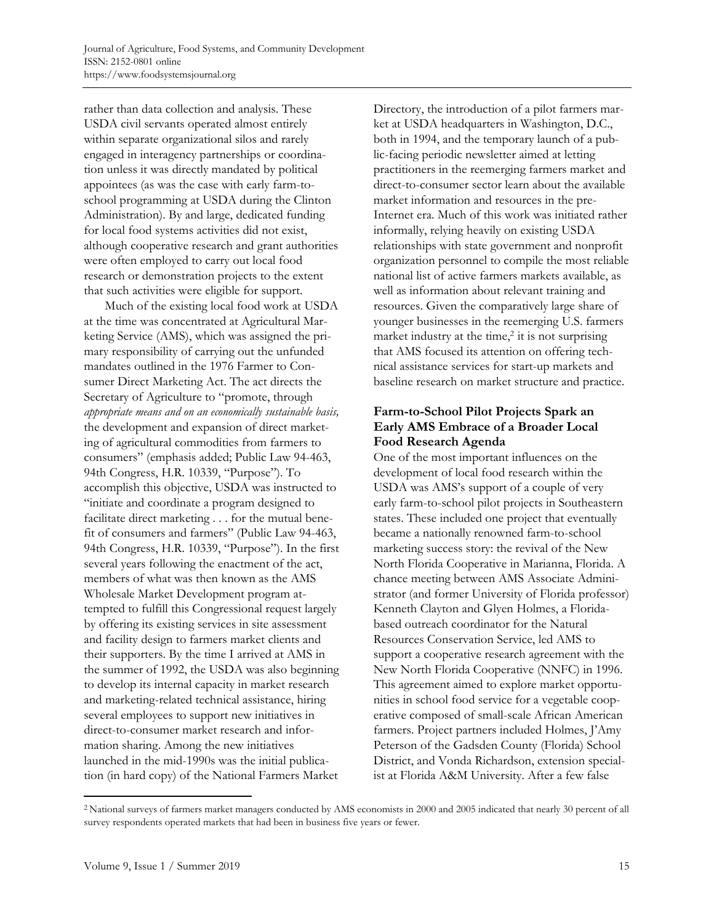rather than data collection and analysis. These USDA civil servants operated almost entirely within separate organizational silos and rarely engaged in interagency partnerships or coordination unless it was directly mandated by political appointees (as was the case with early farm-toschool programming at USDA during the Clinton Administration). By and large, dedicated funding for local food systems activities did not exist, although cooperative research and grant authorities were often employed to carry out local food research or demonstration projects to the extent that such activities were eligible for support.

 Much of the existing local food work at USDA at the time was concentrated at Agricultural Marketing Service (AMS), which was assigned the primary responsibility of carrying out the unfunded mandates outlined in the 1976 Farmer to Consumer Direct Marketing Act. The act directs the Secretary of Agriculture to "promote, through *appropriate means and on an economically sustainable basis,* the development and expansion of direct marketing of agricultural commodities from farmers to consumers" (emphasis added; Public Law 94-463, 94th Congress, H.R. 10339, "Purpose"). To accomplish this objective, USDA was instructed to "initiate and coordinate a program designed to facilitate direct marketing . . . for the mutual benefit of consumers and farmers" (Public Law 94-463, 94th Congress, H.R. 10339, "Purpose"). In the first several years following the enactment of the act, members of what was then known as the AMS Wholesale Market Development program attempted to fulfill this Congressional request largely by offering its existing services in site assessment and facility design to farmers market clients and their supporters. By the time I arrived at AMS in the summer of 1992, the USDA was also beginning to develop its internal capacity in market research and marketing-related technical assistance, hiring several employees to support new initiatives in direct-to-consumer market research and information sharing. Among the new initiatives launched in the mid-1990s was the initial publication (in hard copy) of the National Farmers Market

Directory, the introduction of a pilot farmers market at USDA headquarters in Washington, D.C., both in 1994, and the temporary launch of a public-facing periodic newsletter aimed at letting practitioners in the reemerging farmers market and direct-to-consumer sector learn about the available market information and resources in the pre-Internet era. Much of this work was initiated rather informally, relying heavily on existing USDA relationships with state government and nonprofit organization personnel to compile the most reliable national list of active farmers markets available, as well as information about relevant training and resources. Given the comparatively large share of younger businesses in the reemerging U.S. farmers market industry at the time, $\frac{2}{3}$  it is not surprising that AMS focused its attention on offering technical assistance services for start-up markets and baseline research on market structure and practice.

#### **Farm-to-School Pilot Projects Spark an Early AMS Embrace of a Broader Local Food Research Agenda**

One of the most important influences on the development of local food research within the USDA was AMS's support of a couple of very early farm-to-school pilot projects in Southeastern states. These included one project that eventually became a nationally renowned farm-to-school marketing success story: the revival of the New North Florida Cooperative in Marianna, Florida. A chance meeting between AMS Associate Administrator (and former University of Florida professor) Kenneth Clayton and Glyen Holmes, a Floridabased outreach coordinator for the Natural Resources Conservation Service, led AMS to support a cooperative research agreement with the New North Florida Cooperative (NNFC) in 1996. This agreement aimed to explore market opportunities in school food service for a vegetable cooperative composed of small-scale African American farmers. Project partners included Holmes, J'Amy Peterson of the Gadsden County (Florida) School District, and Vonda Richardson, extension specialist at Florida A&M University. After a few false

<sup>2</sup> National surveys of farmers market managers conducted by AMS economists in 2000 and 2005 indicated that nearly 30 percent of all survey respondents operated markets that had been in business five years or fewer.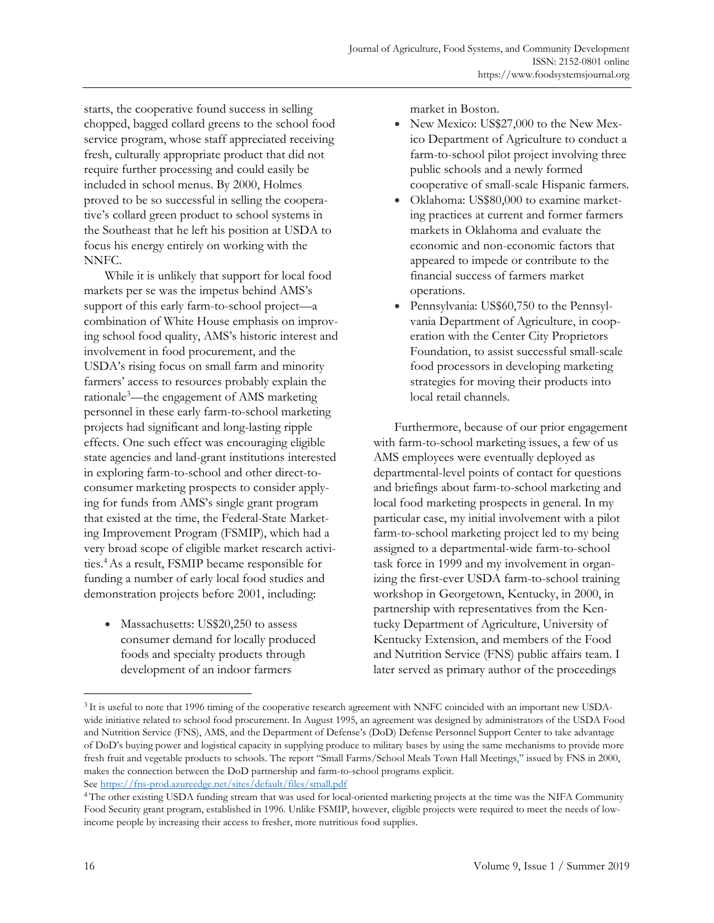starts, the cooperative found success in selling chopped, bagged collard greens to the school food service program, whose staff appreciated receiving fresh, culturally appropriate product that did not require further processing and could easily be included in school menus. By 2000, Holmes proved to be so successful in selling the cooperative's collard green product to school systems in the Southeast that he left his position at USDA to focus his energy entirely on working with the NNFC.

 While it is unlikely that support for local food markets per se was the impetus behind AMS's support of this early farm-to-school project—a combination of White House emphasis on improving school food quality, AMS's historic interest and involvement in food procurement, and the USDA's rising focus on small farm and minority farmers' access to resources probably explain the rationale3 —the engagement of AMS marketing personnel in these early farm-to-school marketing projects had significant and long-lasting ripple effects. One such effect was encouraging eligible state agencies and land-grant institutions interested in exploring farm-to-school and other direct-toconsumer marketing prospects to consider applying for funds from AMS's single grant program that existed at the time, the Federal-State Marketing Improvement Program (FSMIP), which had a very broad scope of eligible market research activities.4 As a result, FSMIP became responsible for funding a number of early local food studies and demonstration projects before 2001, including:

Massachusetts: US\$20,250 to assess consumer demand for locally produced foods and specialty products through development of an indoor farmers

market in Boston.

- New Mexico: US\$27,000 to the New Mexico Department of Agriculture to conduct a farm-to-school pilot project involving three public schools and a newly formed cooperative of small-scale Hispanic farmers.
- Oklahoma: US\$80,000 to examine marketing practices at current and former farmers markets in Oklahoma and evaluate the economic and non-economic factors that appeared to impede or contribute to the financial success of farmers market operations.
- Pennsylvania: US\$60,750 to the Pennsylvania Department of Agriculture, in cooperation with the Center City Proprietors Foundation, to assist successful small-scale food processors in developing marketing strategies for moving their products into local retail channels.

 Furthermore, because of our prior engagement with farm-to-school marketing issues, a few of us AMS employees were eventually deployed as departmental-level points of contact for questions and briefings about farm-to-school marketing and local food marketing prospects in general. In my particular case, my initial involvement with a pilot farm-to-school marketing project led to my being assigned to a departmental-wide farm-to-school task force in 1999 and my involvement in organizing the first-ever USDA farm-to-school training workshop in Georgetown, Kentucky, in 2000, in partnership with representatives from the Kentucky Department of Agriculture, University of Kentucky Extension, and members of the Food and Nutrition Service (FNS) public affairs team. I later served as primary author of the proceedings

<sup>3</sup> It is useful to note that 1996 timing of the cooperative research agreement with NNFC coincided with an important new USDAwide initiative related to school food procurement. In August 1995, an agreement was designed by administrators of the USDA Food and Nutrition Service (FNS), AMS, and the Department of Defense's (DoD) Defense Personnel Support Center to take advantage of DoD's buying power and logistical capacity in supplying produce to military bases by using the same mechanisms to provide more fresh fruit and vegetable products to schools. The report "Small Farms/School Meals Town Hall Meetings," issued by FNS in 2000, makes the connection between the DoD partnership and farm-to-school programs explicit.

See https://fns-prod.azureedge.net/sites/default/files/small.pdf<br><sup>4</sup> The other existing USDA funding stream that was used for local-oriented marketing projects at the time was the NIFA Community Food Security grant program, established in 1996. Unlike FSMIP, however, eligible projects were required to meet the needs of lowincome people by increasing their access to fresher, more nutritious food supplies.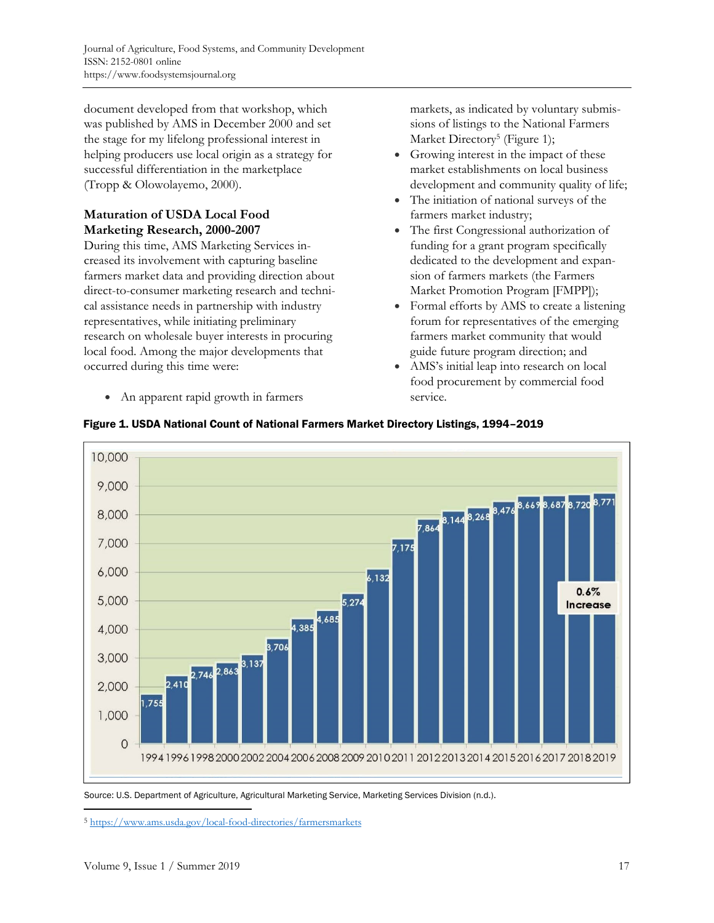document developed from that workshop, which was published by AMS in December 2000 and set the stage for my lifelong professional interest in helping producers use local origin as a strategy for successful differentiation in the marketplace (Tropp & Olowolayemo, 2000).

## **Maturation of USDA Local Food Marketing Research, 2000-2007**

During this time, AMS Marketing Services increased its involvement with capturing baseline farmers market data and providing direction about direct-to-consumer marketing research and technical assistance needs in partnership with industry representatives, while initiating preliminary research on wholesale buyer interests in procuring local food. Among the major developments that occurred during this time were:

• An apparent rapid growth in farmers

markets, as indicated by voluntary submissions of listings to the National Farmers Market Directory<sup>5</sup> (Figure 1);

- Growing interest in the impact of these market establishments on local business development and community quality of life;
- The initiation of national surveys of the farmers market industry;
- The first Congressional authorization of funding for a grant program specifically dedicated to the development and expansion of farmers markets (the Farmers Market Promotion Program [FMPP]);
- Formal efforts by AMS to create a listening forum for representatives of the emerging farmers market community that would guide future program direction; and
- AMS's initial leap into research on local food procurement by commercial food service.





Source: U.S. Department of Agriculture, Agricultural Marketing Service, Marketing Services Division (n.d.).

<sup>5</sup> https://www.ams.usda.gov/local-food-directories/farmersmarkets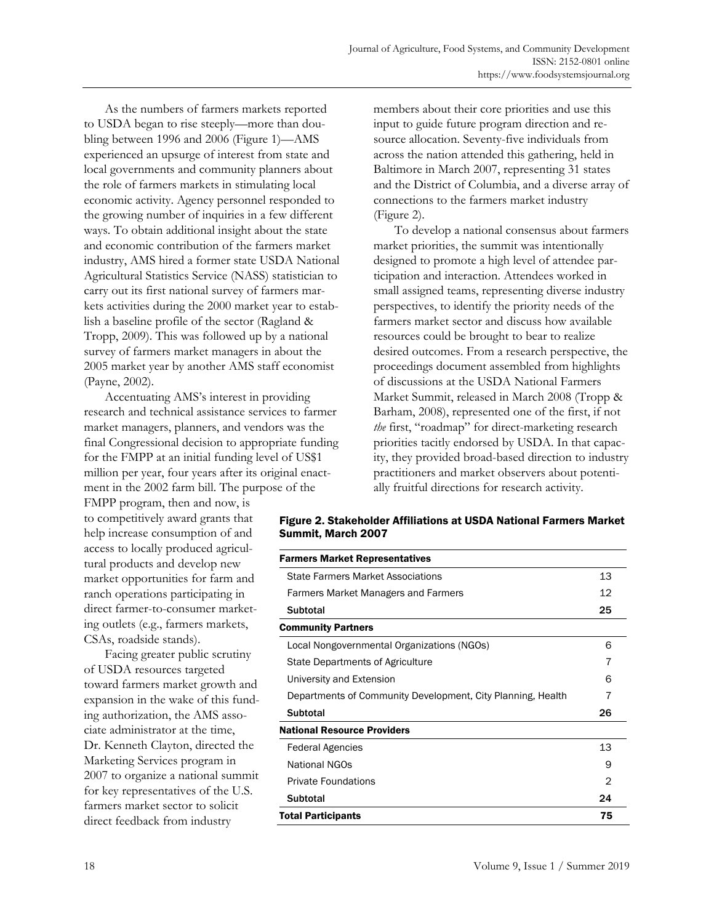As the numbers of farmers markets reported to USDA began to rise steeply—more than doubling between 1996 and 2006 (Figure 1)—AMS experienced an upsurge of interest from state and local governments and community planners about the role of farmers markets in stimulating local economic activity. Agency personnel responded to the growing number of inquiries in a few different ways. To obtain additional insight about the state and economic contribution of the farmers market industry, AMS hired a former state USDA National Agricultural Statistics Service (NASS) statistician to carry out its first national survey of farmers markets activities during the 2000 market year to establish a baseline profile of the sector (Ragland & Tropp, 2009). This was followed up by a national survey of farmers market managers in about the 2005 market year by another AMS staff economist (Payne, 2002).

 Accentuating AMS's interest in providing research and technical assistance services to farmer market managers, planners, and vendors was the final Congressional decision to appropriate funding for the FMPP at an initial funding level of US\$1 million per year, four years after its original enactment in the 2002 farm bill. The purpose of the

FMPP program, then and now, is to competitively award grants that help increase consumption of and access to locally produced agricultural products and develop new market opportunities for farm and ranch operations participating in direct farmer-to-consumer marketing outlets (e.g., farmers markets, CSAs, roadside stands).

 Facing greater public scrutiny of USDA resources targeted toward farmers market growth and expansion in the wake of this funding authorization, the AMS associate administrator at the time, Dr. Kenneth Clayton, directed the Marketing Services program in 2007 to organize a national summit for key representatives of the U.S. farmers market sector to solicit direct feedback from industry

members about their core priorities and use this input to guide future program direction and resource allocation. Seventy-five individuals from across the nation attended this gathering, held in Baltimore in March 2007, representing 31 states and the District of Columbia, and a diverse array of connections to the farmers market industry (Figure 2).

 To develop a national consensus about farmers market priorities, the summit was intentionally designed to promote a high level of attendee participation and interaction. Attendees worked in small assigned teams, representing diverse industry perspectives, to identify the priority needs of the farmers market sector and discuss how available resources could be brought to bear to realize desired outcomes. From a research perspective, the proceedings document assembled from highlights of discussions at the USDA National Farmers Market Summit, released in March 2008 (Tropp & Barham, 2008), represented one of the first, if not *the* first, "roadmap" for direct-marketing research priorities tacitly endorsed by USDA. In that capacity, they provided broad-based direction to industry practitioners and market observers about potentially fruitful directions for research activity.

|                    | Figure 2. Stakeholder Affiliations at USDA National Farmers Market |  |  |
|--------------------|--------------------------------------------------------------------|--|--|
| Summit, March 2007 |                                                                    |  |  |
|                    |                                                                    |  |  |

| <b>Farmers Market Representatives</b>                       |    |  |
|-------------------------------------------------------------|----|--|
| <b>State Farmers Market Associations</b>                    | 13 |  |
| Farmers Market Managers and Farmers                         |    |  |
| Subtotal                                                    | 25 |  |
| <b>Community Partners</b>                                   |    |  |
| Local Nongovernmental Organizations (NGOs)                  | 6  |  |
| State Departments of Agriculture                            | 7  |  |
| University and Extension                                    | 6  |  |
| Departments of Community Development, City Planning, Health |    |  |
| <b>Subtotal</b>                                             | 26 |  |
| <b>National Resource Providers</b>                          |    |  |
| <b>Federal Agencies</b>                                     | 13 |  |
| National NGOs                                               | 9  |  |
| <b>Private Foundations</b>                                  | 2  |  |
| <b>Subtotal</b>                                             | 24 |  |
| Total Participants                                          |    |  |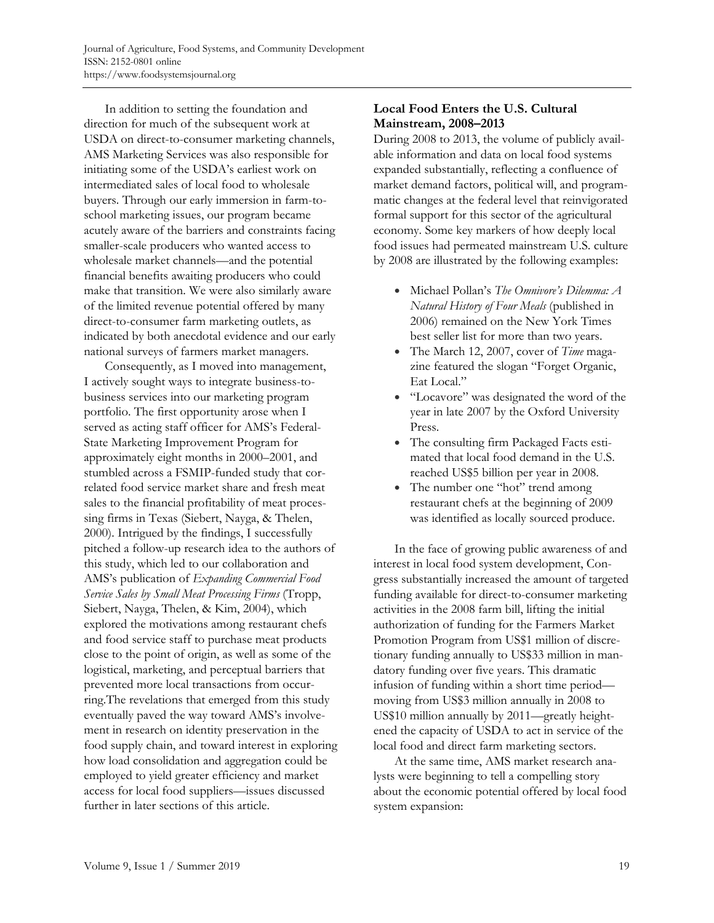In addition to setting the foundation and direction for much of the subsequent work at USDA on direct-to-consumer marketing channels, AMS Marketing Services was also responsible for initiating some of the USDA's earliest work on intermediated sales of local food to wholesale buyers. Through our early immersion in farm-toschool marketing issues, our program became acutely aware of the barriers and constraints facing smaller-scale producers who wanted access to wholesale market channels—and the potential financial benefits awaiting producers who could make that transition. We were also similarly aware of the limited revenue potential offered by many direct-to-consumer farm marketing outlets, as indicated by both anecdotal evidence and our early national surveys of farmers market managers.

 Consequently, as I moved into management, I actively sought ways to integrate business-tobusiness services into our marketing program portfolio. The first opportunity arose when I served as acting staff officer for AMS's Federal-State Marketing Improvement Program for approximately eight months in 2000–2001, and stumbled across a FSMIP-funded study that correlated food service market share and fresh meat sales to the financial profitability of meat processing firms in Texas (Siebert, Nayga, & Thelen, 2000). Intrigued by the findings, I successfully pitched a follow-up research idea to the authors of this study, which led to our collaboration and AMS's publication of *Expanding Commercial Food Service Sales by Small Meat Processing Firms* (Tropp, Siebert, Nayga, Thelen, & Kim, 2004), which explored the motivations among restaurant chefs and food service staff to purchase meat products close to the point of origin, as well as some of the logistical, marketing, and perceptual barriers that prevented more local transactions from occurring.The revelations that emerged from this study eventually paved the way toward AMS's involvement in research on identity preservation in the food supply chain, and toward interest in exploring how load consolidation and aggregation could be employed to yield greater efficiency and market access for local food suppliers—issues discussed further in later sections of this article.

#### **Local Food Enters the U.S. Cultural Mainstream, 2008–2013**

During 2008 to 2013, the volume of publicly available information and data on local food systems expanded substantially, reflecting a confluence of market demand factors, political will, and programmatic changes at the federal level that reinvigorated formal support for this sector of the agricultural economy. Some key markers of how deeply local food issues had permeated mainstream U.S. culture by 2008 are illustrated by the following examples:

- Michael Pollan's *The Omnivore's Dilemma: A Natural History of Four Meals* (published in 2006) remained on the New York Times best seller list for more than two years.
- The March 12, 2007, cover of *Time* magazine featured the slogan "Forget Organic, Eat Local."
- "Locavore" was designated the word of the year in late 2007 by the Oxford University Press.
- The consulting firm Packaged Facts estimated that local food demand in the U.S. reached US\$5 billion per year in 2008.
- The number one "hot" trend among restaurant chefs at the beginning of 2009 was identified as locally sourced produce.

 In the face of growing public awareness of and interest in local food system development, Congress substantially increased the amount of targeted funding available for direct-to-consumer marketing activities in the 2008 farm bill, lifting the initial authorization of funding for the Farmers Market Promotion Program from US\$1 million of discretionary funding annually to US\$33 million in mandatory funding over five years. This dramatic infusion of funding within a short time period moving from US\$3 million annually in 2008 to US\$10 million annually by 2011—greatly heightened the capacity of USDA to act in service of the local food and direct farm marketing sectors.

 At the same time, AMS market research analysts were beginning to tell a compelling story about the economic potential offered by local food system expansion: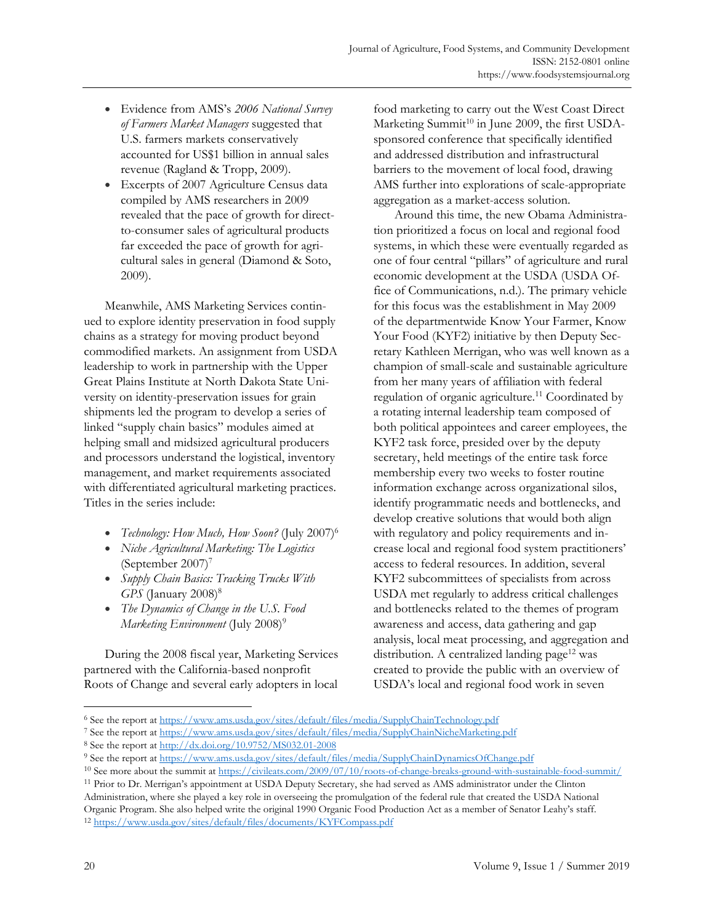- Evidence from AMS's *2006 National Survey of Farmers Market Managers* suggested that U.S. farmers markets conservatively accounted for US\$1 billion in annual sales revenue (Ragland & Tropp, 2009).
- Excerpts of 2007 Agriculture Census data compiled by AMS researchers in 2009 revealed that the pace of growth for directto-consumer sales of agricultural products far exceeded the pace of growth for agricultural sales in general (Diamond & Soto, 2009).

 Meanwhile, AMS Marketing Services continued to explore identity preservation in food supply chains as a strategy for moving product beyond commodified markets. An assignment from USDA leadership to work in partnership with the Upper Great Plains Institute at North Dakota State University on identity-preservation issues for grain shipments led the program to develop a series of linked "supply chain basics" modules aimed at helping small and midsized agricultural producers and processors understand the logistical, inventory management, and market requirements associated with differentiated agricultural marketing practices. Titles in the series include:

- *Technology: How Much, How Soon?* (July 2007)6
- *Niche Agricultural Marketing: The Logistics* (September 2007)7
- *Supply Chain Basics: Tracking Trucks With GPS* (January 2008)<sup>8</sup>
- *The Dynamics of Change in the U.S. Food Marketing Environment* (July 2008)<sup>9</sup>

 During the 2008 fiscal year, Marketing Services partnered with the California-based nonprofit Roots of Change and several early adopters in local food marketing to carry out the West Coast Direct Marketing Summit $10$  in June 2009, the first USDAsponsored conference that specifically identified and addressed distribution and infrastructural barriers to the movement of local food, drawing AMS further into explorations of scale-appropriate aggregation as a market-access solution.

 Around this time, the new Obama Administration prioritized a focus on local and regional food systems, in which these were eventually regarded as one of four central "pillars" of agriculture and rural economic development at the USDA (USDA Office of Communications, n.d.). The primary vehicle for this focus was the establishment in May 2009 of the departmentwide Know Your Farmer, Know Your Food (KYF2) initiative by then Deputy Secretary Kathleen Merrigan, who was well known as a champion of small-scale and sustainable agriculture from her many years of affiliation with federal regulation of organic agriculture.<sup>11</sup> Coordinated by a rotating internal leadership team composed of both political appointees and career employees, the KYF2 task force, presided over by the deputy secretary, held meetings of the entire task force membership every two weeks to foster routine information exchange across organizational silos, identify programmatic needs and bottlenecks, and develop creative solutions that would both align with regulatory and policy requirements and increase local and regional food system practitioners' access to federal resources. In addition, several KYF2 subcommittees of specialists from across USDA met regularly to address critical challenges and bottlenecks related to the themes of program awareness and access, data gathering and gap analysis, local meat processing, and aggregation and distribution. A centralized landing page<sup>12</sup> was created to provide the public with an overview of USDA's local and regional food work in seven

<sup>6</sup> See the report at https://www.ams.usda.gov/sites/default/files/media/SupplyChainTechnology.pdf

<sup>&</sup>lt;sup>7</sup> See the report at <u>https://www.ams.usda.gov/sites/default/files/media/SupplyChainNicheMarketing.pdf<br><sup>8</sup> See the report at <u>http://dx.doi.org/10.9752/MS032.01-2008</u><br><sup>9</sup> See the report at <u>https://www.ams.usda.gov/sites/</u></u>

Administration, where she played a key role in overseeing the promulgation of the federal rule that created the USDA National Organic Program. She also helped write the original 1990 Organic Food Production Act as a member of Senator Leahy's staff. 12 https://www.usda.gov/sites/default/files/documents/KYFCompass.pdf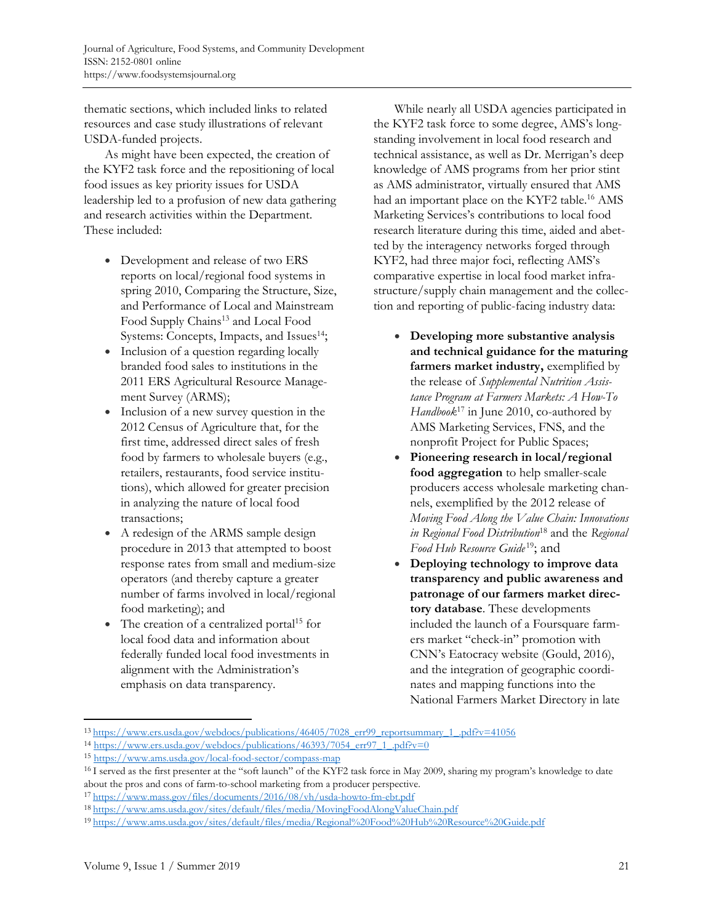thematic sections, which included links to related resources and case study illustrations of relevant USDA-funded projects.

 As might have been expected, the creation of the KYF2 task force and the repositioning of local food issues as key priority issues for USDA leadership led to a profusion of new data gathering and research activities within the Department. These included:

- Development and release of two ERS reports on local/regional food systems in spring 2010, Comparing the Structure, Size, and Performance of Local and Mainstream Food Supply Chains<sup>13</sup> and Local Food Systems: Concepts, Impacts, and Issues<sup>14</sup>;
- Inclusion of a question regarding locally branded food sales to institutions in the 2011 ERS Agricultural Resource Management Survey (ARMS);
- Inclusion of a new survey question in the 2012 Census of Agriculture that, for the first time, addressed direct sales of fresh food by farmers to wholesale buyers (e.g., retailers, restaurants, food service institutions), which allowed for greater precision in analyzing the nature of local food transactions;
- A redesign of the ARMS sample design procedure in 2013 that attempted to boost response rates from small and medium-size operators (and thereby capture a greater number of farms involved in local/regional food marketing); and
- The creation of a centralized portal<sup>15</sup> for local food data and information about federally funded local food investments in alignment with the Administration's emphasis on data transparency.

 While nearly all USDA agencies participated in the KYF2 task force to some degree, AMS's longstanding involvement in local food research and technical assistance, as well as Dr. Merrigan's deep knowledge of AMS programs from her prior stint as AMS administrator, virtually ensured that AMS had an important place on the KYF2 table.<sup>16</sup> AMS Marketing Services's contributions to local food research literature during this time, aided and abetted by the interagency networks forged through KYF2, had three major foci, reflecting AMS's comparative expertise in local food market infrastructure/supply chain management and the collection and reporting of public-facing industry data:

- **Developing more substantive analysis and technical guidance for the maturing farmers market industry,** exemplified by the release of *Supplemental Nutrition Assistance Program at Farmers Markets: A How-To Handbook*<sup>17</sup> in June 2010, co-authored by AMS Marketing Services, FNS, and the nonprofit Project for Public Spaces;
- **Pioneering research in local/regional food aggregation** to help smaller-scale producers access wholesale marketing channels, exemplified by the 2012 release of *Moving Food Along the Value Chain: Innovations in Regional Food Distribution*18 and the *Regional Food Hub Resource Guide* 19; and
- **Deploying technology to improve data transparency and public awareness and patronage of our farmers market directory database**. These developments included the launch of a Foursquare farmers market "check-in" promotion with CNN's Eatocracy website (Gould, 2016), and the integration of geographic coordinates and mapping functions into the National Farmers Market Directory in late

<sup>&</sup>lt;sup>13</sup> https://www.ers.usda.gov/webdocs/publications/46405/7028 err99 reportsummary 1 pdf?v=41056<br><sup>14</sup> https://www.ers.usda.gov/webdocs/publications/46393/7054 err97 1 pdf?v=0<br><sup>15</sup> https://www.ams.usda.gov/local-food-sector about the pros and cons of farm-to-school marketing from a producer perspective.

<sup>&</sup>lt;sup>17</sup>https://www.mass.gov/files/documents/2016/08/vh/usda-howto-fm-ebt.pdf<br><sup>18</sup>https://www.ams.usda.gov/sites/default/files/media/MovingFoodAlongValueChain.pdf<br><sup>19</sup>https://www.ams.usda.gov/sites/default/files/media/Regional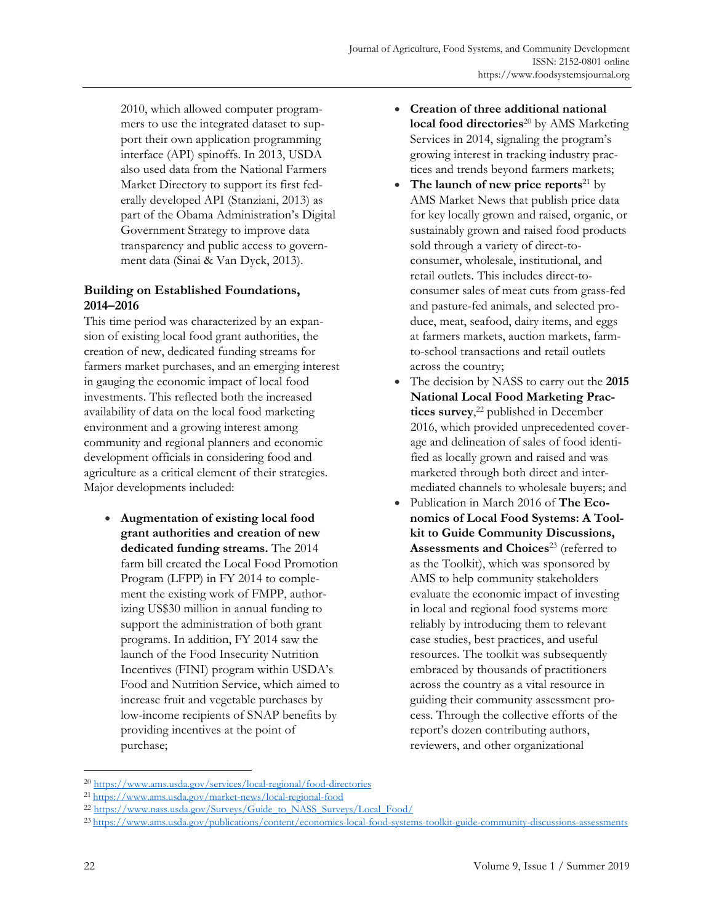2010, which allowed computer programmers to use the integrated dataset to support their own application programming interface (API) spinoffs. In 2013, USDA also used data from the National Farmers Market Directory to support its first federally developed API (Stanziani, 2013) as part of the Obama Administration's Digital Government Strategy to improve data transparency and public access to government data (Sinai & Van Dyck, 2013).

#### **Building on Established Foundations, 2014–2016**

This time period was characterized by an expansion of existing local food grant authorities, the creation of new, dedicated funding streams for farmers market purchases, and an emerging interest in gauging the economic impact of local food investments. This reflected both the increased availability of data on the local food marketing environment and a growing interest among community and regional planners and economic development officials in considering food and agriculture as a critical element of their strategies. Major developments included:

• **Augmentation of existing local food grant authorities and creation of new dedicated funding streams.** The 2014 farm bill created the Local Food Promotion Program (LFPP) in FY 2014 to complement the existing work of FMPP, authorizing US\$30 million in annual funding to support the administration of both grant programs. In addition, FY 2014 saw the launch of the Food Insecurity Nutrition Incentives (FINI) program within USDA's Food and Nutrition Service, which aimed to increase fruit and vegetable purchases by low-income recipients of SNAP benefits by providing incentives at the point of purchase;

- **Creation of three additional national local food directories**<sup>20</sup> by AMS Marketing Services in 2014, signaling the program's growing interest in tracking industry practices and trends beyond farmers markets;
- The launch of new price reports<sup>21</sup> by AMS Market News that publish price data for key locally grown and raised, organic, or sustainably grown and raised food products sold through a variety of direct-toconsumer, wholesale, institutional, and retail outlets. This includes direct-toconsumer sales of meat cuts from grass-fed and pasture-fed animals, and selected produce, meat, seafood, dairy items, and eggs at farmers markets, auction markets, farmto-school transactions and retail outlets across the country;
- The decision by NASS to carry out the **2015 National Local Food Marketing Practices survey**, 22 published in December 2016, which provided unprecedented coverage and delineation of sales of food identified as locally grown and raised and was marketed through both direct and intermediated channels to wholesale buyers; and
- Publication in March 2016 of **The Economics of Local Food Systems: A Toolkit to Guide Community Discussions,**  Assessments and Choices<sup>23</sup> (referred to as the Toolkit), which was sponsored by AMS to help community stakeholders evaluate the economic impact of investing in local and regional food systems more reliably by introducing them to relevant case studies, best practices, and useful resources. The toolkit was subsequently embraced by thousands of practitioners across the country as a vital resource in guiding their community assessment process. Through the collective efforts of the report's dozen contributing authors, reviewers, and other organizational

20 https://www.ams.usda.gov/services/local-regional/food-directories<br>21 https://www.ams.usda.gov/market-news/local-regional-food<br>22 https://www.nass.usda.gov/Surveys/Guide\_to\_NASS\_Surveys/Local\_Food/<br>23 https://www.ams.usd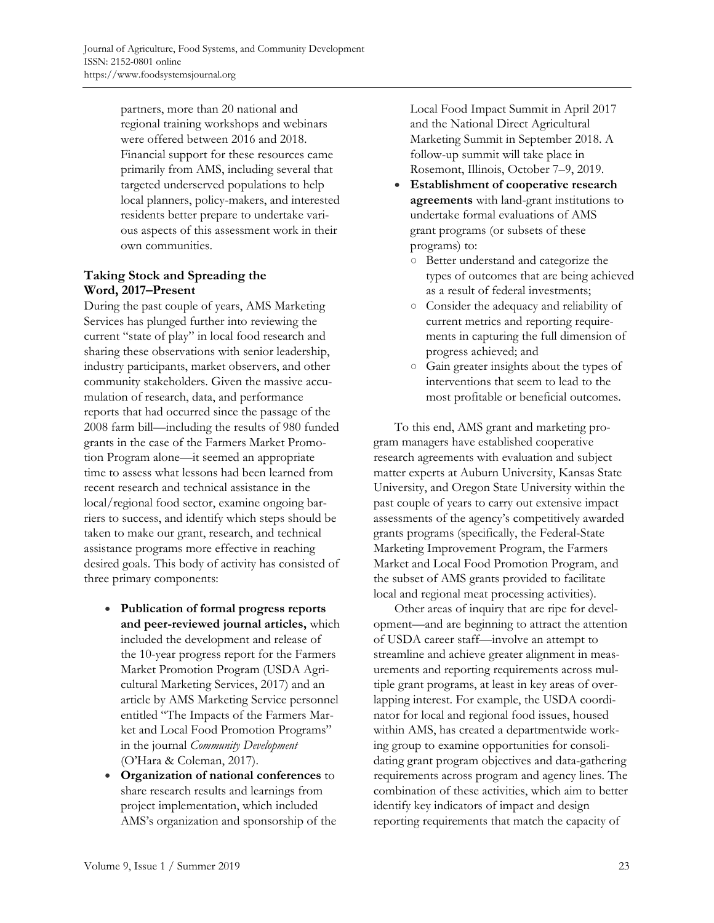partners, more than 20 national and regional training workshops and webinars were offered between 2016 and 2018. Financial support for these resources came primarily from AMS, including several that targeted underserved populations to help local planners, policy-makers, and interested residents better prepare to undertake various aspects of this assessment work in their own communities.

## **Taking Stock and Spreading the Word, 2017–Present**

During the past couple of years, AMS Marketing Services has plunged further into reviewing the current "state of play" in local food research and sharing these observations with senior leadership, industry participants, market observers, and other community stakeholders. Given the massive accumulation of research, data, and performance reports that had occurred since the passage of the 2008 farm bill—including the results of 980 funded grants in the case of the Farmers Market Promotion Program alone—it seemed an appropriate time to assess what lessons had been learned from recent research and technical assistance in the local/regional food sector, examine ongoing barriers to success, and identify which steps should be taken to make our grant, research, and technical assistance programs more effective in reaching desired goals. This body of activity has consisted of three primary components:

- **Publication of formal progress reports and peer-reviewed journal articles,** which included the development and release of the 10-year progress report for the Farmers Market Promotion Program (USDA Agricultural Marketing Services, 2017) and an article by AMS Marketing Service personnel entitled "The Impacts of the Farmers Market and Local Food Promotion Programs" in the journal *Community Development* (O'Hara & Coleman, 2017).
- **Organization of national conferences** to share research results and learnings from project implementation, which included AMS's organization and sponsorship of the

Local Food Impact Summit in April 2017 and the National Direct Agricultural Marketing Summit in September 2018. A follow-up summit will take place in Rosemont, Illinois, October 7–9, 2019.

- **Establishment of cooperative research agreements** with land-grant institutions to undertake formal evaluations of AMS grant programs (or subsets of these programs) to:
	- Better understand and categorize the types of outcomes that are being achieved as a result of federal investments;
	- Consider the adequacy and reliability of current metrics and reporting requirements in capturing the full dimension of progress achieved; and
	- Gain greater insights about the types of interventions that seem to lead to the most profitable or beneficial outcomes.

 To this end, AMS grant and marketing program managers have established cooperative research agreements with evaluation and subject matter experts at Auburn University, Kansas State University, and Oregon State University within the past couple of years to carry out extensive impact assessments of the agency's competitively awarded grants programs (specifically, the Federal-State Marketing Improvement Program, the Farmers Market and Local Food Promotion Program, and the subset of AMS grants provided to facilitate local and regional meat processing activities).

 Other areas of inquiry that are ripe for development—and are beginning to attract the attention of USDA career staff—involve an attempt to streamline and achieve greater alignment in measurements and reporting requirements across multiple grant programs, at least in key areas of overlapping interest. For example, the USDA coordinator for local and regional food issues, housed within AMS, has created a departmentwide working group to examine opportunities for consolidating grant program objectives and data-gathering requirements across program and agency lines. The combination of these activities, which aim to better identify key indicators of impact and design reporting requirements that match the capacity of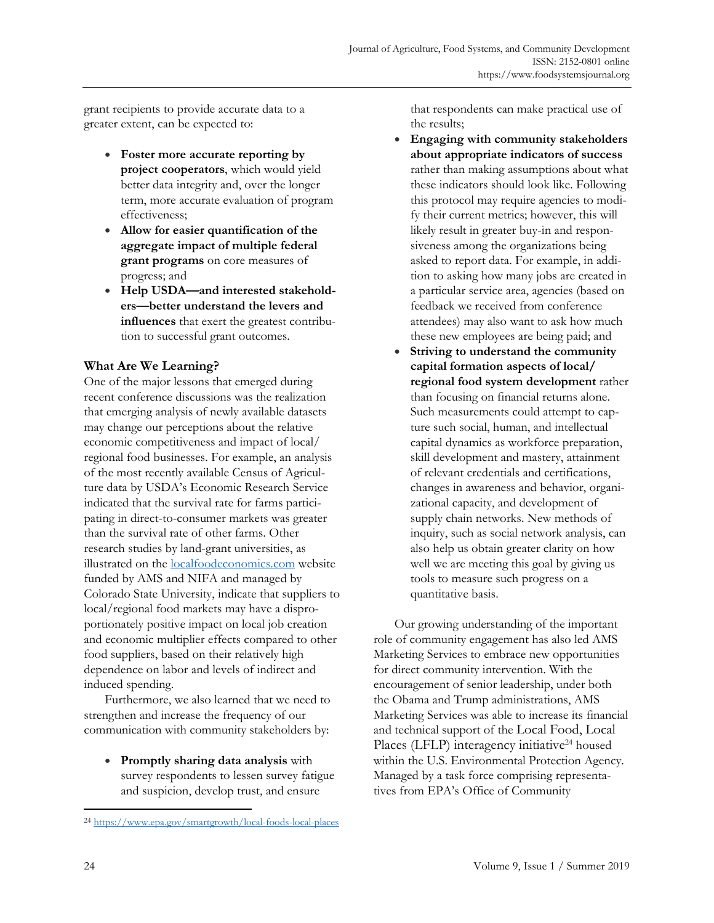grant recipients to provide accurate data to a greater extent, can be expected to:

- **Foster more accurate reporting by project cooperators**, which would yield better data integrity and, over the longer term, more accurate evaluation of program effectiveness;
- **Allow for easier quantification of the aggregate impact of multiple federal grant programs** on core measures of progress; and
- **Help USDA—and interested stakeholders—better understand the levers and influences** that exert the greatest contribution to successful grant outcomes.

## **What Are We Learning?**

One of the major lessons that emerged during recent conference discussions was the realization that emerging analysis of newly available datasets may change our perceptions about the relative economic competitiveness and impact of local/ regional food businesses. For example, an analysis of the most recently available Census of Agriculture data by USDA's Economic Research Service indicated that the survival rate for farms participating in direct-to-consumer markets was greater than the survival rate of other farms. Other research studies by land-grant universities, as illustrated on the [localfoodeconomics.com](https://localfoodeconomics.com) website funded by AMS and NIFA and managed by Colorado State University, indicate that suppliers to local/regional food markets may have a disproportionately positive impact on local job creation and economic multiplier effects compared to other food suppliers, based on their relatively high dependence on labor and levels of indirect and induced spending.

 Furthermore, we also learned that we need to strengthen and increase the frequency of our communication with community stakeholders by:

• **Promptly sharing data analysis** with survey respondents to lessen survey fatigue and suspicion, develop trust, and ensure

that respondents can make practical use of the results;

- **Engaging with community stakeholders about appropriate indicators of success** rather than making assumptions about what these indicators should look like. Following this protocol may require agencies to modify their current metrics; however, this will likely result in greater buy-in and responsiveness among the organizations being asked to report data. For example, in addition to asking how many jobs are created in a particular service area, agencies (based on feedback we received from conference attendees) may also want to ask how much these new employees are being paid; and
- **Striving to understand the community capital formation aspects of local/ regional food system development** rather than focusing on financial returns alone. Such measurements could attempt to capture such social, human, and intellectual capital dynamics as workforce preparation, skill development and mastery, attainment of relevant credentials and certifications, changes in awareness and behavior, organizational capacity, and development of supply chain networks. New methods of inquiry, such as social network analysis, can also help us obtain greater clarity on how well we are meeting this goal by giving us tools to measure such progress on a quantitative basis.

 Our growing understanding of the important role of community engagement has also led AMS Marketing Services to embrace new opportunities for direct community intervention. With the encouragement of senior leadership, under both the Obama and Trump administrations, AMS Marketing Services was able to increase its financial and technical support of the Local Food, Local Places (LFLP) interagency initiative<sup>24</sup> housed within the U.S. Environmental Protection Agency. Managed by a task force comprising representatives from EPA's Office of Community

<sup>24</sup> https://www.epa.gov/smartgrowth/local-foods-local-places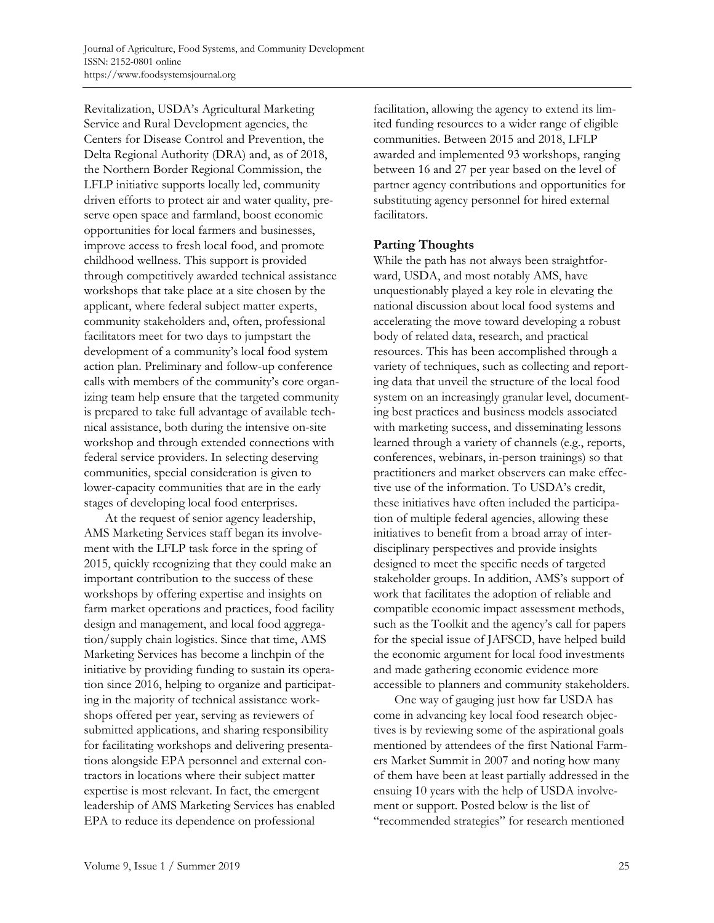Revitalization, USDA's Agricultural Marketing Service and Rural Development agencies, the Centers for Disease Control and Prevention, the Delta Regional Authority (DRA) and, as of 2018, the Northern Border Regional Commission, the LFLP initiative supports locally led, community driven efforts to protect air and water quality, preserve open space and farmland, boost economic opportunities for local farmers and businesses, improve access to fresh local food, and promote childhood wellness. This support is provided through competitively awarded technical assistance workshops that take place at a site chosen by the applicant, where federal subject matter experts, community stakeholders and, often, professional facilitators meet for two days to jumpstart the development of a community's local food system action plan. Preliminary and follow-up conference calls with members of the community's core organizing team help ensure that the targeted community is prepared to take full advantage of available technical assistance, both during the intensive on-site workshop and through extended connections with federal service providers. In selecting deserving communities, special consideration is given to lower-capacity communities that are in the early stages of developing local food enterprises.

 At the request of senior agency leadership, AMS Marketing Services staff began its involvement with the LFLP task force in the spring of 2015, quickly recognizing that they could make an important contribution to the success of these workshops by offering expertise and insights on farm market operations and practices, food facility design and management, and local food aggregation/supply chain logistics. Since that time, AMS Marketing Services has become a linchpin of the initiative by providing funding to sustain its operation since 2016, helping to organize and participating in the majority of technical assistance workshops offered per year, serving as reviewers of submitted applications, and sharing responsibility for facilitating workshops and delivering presentations alongside EPA personnel and external contractors in locations where their subject matter expertise is most relevant. In fact, the emergent leadership of AMS Marketing Services has enabled EPA to reduce its dependence on professional

facilitation, allowing the agency to extend its limited funding resources to a wider range of eligible communities. Between 2015 and 2018, LFLP awarded and implemented 93 workshops, ranging between 16 and 27 per year based on the level of partner agency contributions and opportunities for substituting agency personnel for hired external facilitators.

#### **Parting Thoughts**

While the path has not always been straightforward, USDA, and most notably AMS, have unquestionably played a key role in elevating the national discussion about local food systems and accelerating the move toward developing a robust body of related data, research, and practical resources. This has been accomplished through a variety of techniques, such as collecting and reporting data that unveil the structure of the local food system on an increasingly granular level, documenting best practices and business models associated with marketing success, and disseminating lessons learned through a variety of channels (e.g., reports, conferences, webinars, in-person trainings) so that practitioners and market observers can make effective use of the information. To USDA's credit, these initiatives have often included the participation of multiple federal agencies, allowing these initiatives to benefit from a broad array of interdisciplinary perspectives and provide insights designed to meet the specific needs of targeted stakeholder groups. In addition, AMS's support of work that facilitates the adoption of reliable and compatible economic impact assessment methods, such as the Toolkit and the agency's call for papers for the special issue of JAFSCD, have helped build the economic argument for local food investments and made gathering economic evidence more accessible to planners and community stakeholders.

 One way of gauging just how far USDA has come in advancing key local food research objectives is by reviewing some of the aspirational goals mentioned by attendees of the first National Farmers Market Summit in 2007 and noting how many of them have been at least partially addressed in the ensuing 10 years with the help of USDA involvement or support. Posted below is the list of "recommended strategies" for research mentioned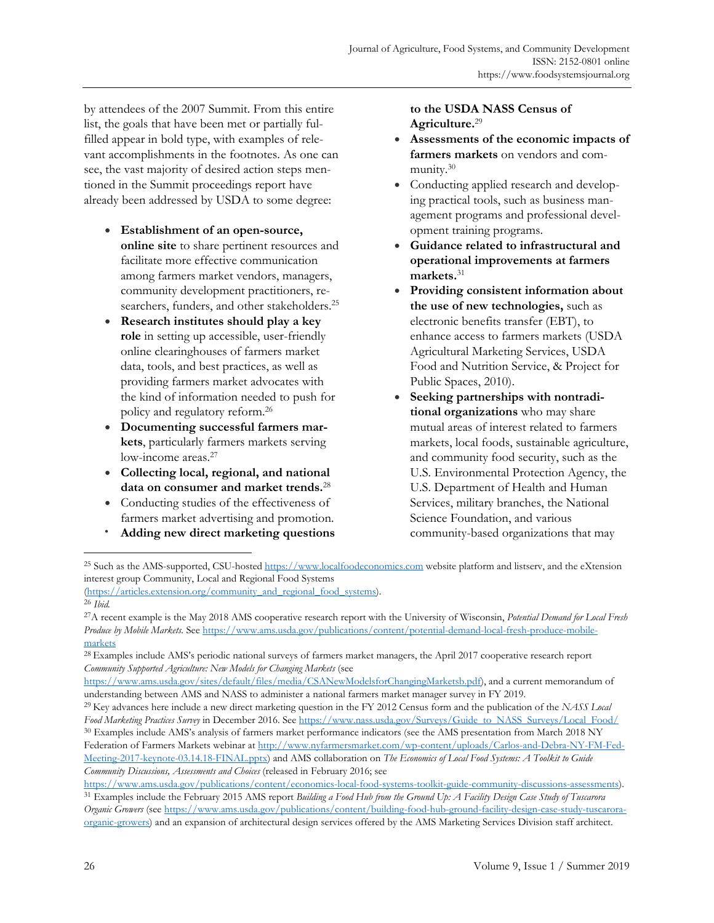by attendees of the 2007 Summit. From this entire list, the goals that have been met or partially fulfilled appear in bold type, with examples of relevant accomplishments in the footnotes. As one can see, the vast majority of desired action steps mentioned in the Summit proceedings report have already been addressed by USDA to some degree:

- **Establishment of an open-source, online site** to share pertinent resources and facilitate more effective communication among farmers market vendors, managers, community development practitioners, researchers, funders, and other stakeholders.25
- **Research institutes should play a key role** in setting up accessible, user-friendly online clearinghouses of farmers market data, tools, and best practices, as well as providing farmers market advocates with the kind of information needed to push for policy and regulatory reform.26
- **Documenting successful farmers markets**, particularly farmers markets serving low-income areas.<sup>27</sup>
- **Collecting local, regional, and national data on consumer and market trends.**<sup>28</sup>
- Conducting studies of the effectiveness of farmers market advertising and promotion.
- **Adding new direct marketing questions**

#### **to the USDA NASS Census of Agriculture.**<sup>29</sup>

- **Assessments of the economic impacts of farmers markets** on vendors and community.30
- Conducting applied research and developing practical tools, such as business management programs and professional development training programs.
- **Guidance related to infrastructural and operational improvements at farmers markets.**<sup>31</sup>
- **Providing consistent information about the use of new technologies,** such as electronic benefits transfer (EBT), to enhance access to farmers markets (USDA Agricultural Marketing Services, USDA Food and Nutrition Service, & Project for Public Spaces, 2010).
- **Seeking partnerships with nontraditional organizations** who may share mutual areas of interest related to farmers markets, local foods, sustainable agriculture, and community food security, such as the U.S. Environmental Protection Agency, the U.S. Department of Health and Human Services, military branches, the National Science Foundation, and various community-based organizations that may

(https://articles.extension.org/community\_and\_regional\_food\_systems). 26 *Ibid.*

<sup>&</sup>lt;sup>25</sup> Such as the AMS-supported, CSU-hosted https://www.localfoodeconomics.com website platform and listserv, and the eXtension interest group Community, Local and Regional Food Systems

<sup>27</sup>A recent example is the May 2018 AMS cooperative research report with the University of Wisconsin, *Potential Demand for Local Fresh Produce by Mobile Markets.* See https://www.ams.usda.gov/publications/content/potential-demand-local-fresh-produce-mobilemarkets<br><sup>28</sup> Examples include AMS's periodic national surveys of farmers market managers, the April 2017 cooperative research report

*Community Supported Agriculture: New Models for Changing Markets* (see

https://www.ams.usda.gov/sites/default/files/media/CSANewModelsforChangingMarketsb.pdf), and a current memorandum of

understanding between AMS and NASS to administer a national farmers market manager survey in FY 2019.<br><sup>29</sup> Key advances here include a new direct marketing question in the FY 2012 Census form and the publication of the NAS Food Marketing Practices Survey in December 2016. See https://www.nass.usda.gov/Surveys/Guide\_to\_NASS\_Surveys/Local\_Food/<br><sup>30</sup> Examples include AMS's analysis of farmers market performance indicators (see the AMS presentat Federation of Farmers Markets webinar at http://www.nyfarmersmarket.com/wp-content/uploads/Carlos-and-Debra-NY-FM-Fed-Meeting-2017-keynote-03.14.18-FINAL.pptx) and AMS collaboration on *The Economics of Local Food Systems: A Toolkit to Guide Community Discussions, Assessments and Choices* (released in February 2016; see

https://www.ams.usda.gov/publications/content/economics-local-food-systems-toolkit-guide-community-discussions-assessments).<br><sup>31</sup> Examples include the February 2015 AMS report Building a Food Hub from the Ground Up: A Faci *Organic Growers* (see https://www.ams.usda.gov/publications/content/building-food-hub-ground-facility-design-case-study-tuscaroraorganic-growers) and an expansion of architectural design services offered by the AMS Marketing Services Division staff architect.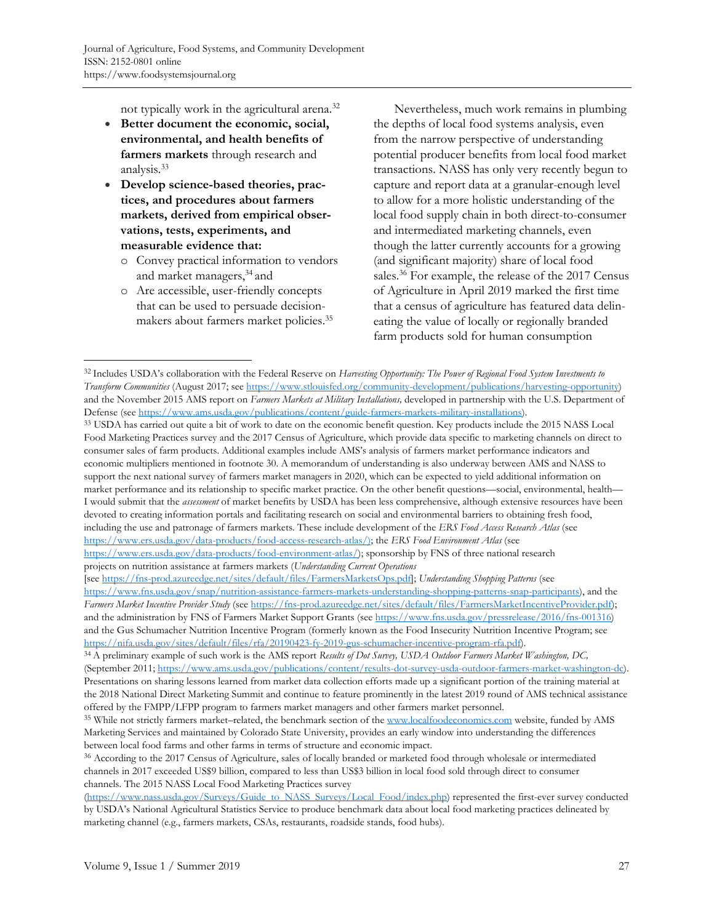not typically work in the agricultural arena.32

- Better document the economic, social, **environmental, and health benefits of farmers markets** through research and analysis.33
- **Develop science-based theories, practices, and procedures about farmers markets, derived from empirical observations, tests, experiments, and measurable evidence that:** 
	- o Convey practical information to vendors and market managers,34 and
	- o Are accessible, user-friendly concepts that can be used to persuade decisionmakers about farmers market policies.35

 Nevertheless, much work remains in plumbing the depths of local food systems analysis, even from the narrow perspective of understanding potential producer benefits from local food market transactions. NASS has only very recently begun to capture and report data at a granular-enough level to allow for a more holistic understanding of the local food supply chain in both direct-to-consumer and intermediated marketing channels, even though the latter currently accounts for a growing (and significant majority) share of local food sales.36 For example, the release of the 2017 Census of Agriculture in April 2019 marked the first time that a census of agriculture has featured data delineating the value of locally or regionally branded farm products sold for human consumption

Defense (see https://www.ams.usda.gov/publications/content/guide-farmers-markets-military-installations).<br><sup>33</sup> USDA has carried out quite a bit of work to date on the economic benefit question. Key products include the 201 Food Marketing Practices survey and the 2017 Census of Agriculture, which provide data specific to marketing channels on direct to consumer sales of farm products. Additional examples include AMS's analysis of farmers market performance indicators and economic multipliers mentioned in footnote 30. A memorandum of understanding is also underway between AMS and NASS to support the next national survey of farmers market managers in 2020, which can be expected to yield additional information on market performance and its relationship to specific market practice. On the other benefit questions—social, environmental, health— I would submit that the *assessment* of market benefits by USDA has been less comprehensive, although extensive resources have been devoted to creating information portals and facilitating research on social and environmental barriers to obtaining fresh food, including the use and patronage of farmers markets. These include development of the *ERS Food Access Research Atlas* (see <https://www.ers.usda.gov/data-products/food-access-research-atlas/>); the *ERS Food Environment Atlas* (see

<sup>32</sup> Includes USDA's collaboration with the Federal Reserve on *Harvesting Opportunity: The Power of Regional Food System Investments to Transform Communities* (August 2017; see https://www.stlouisfed.org/community-development/publications/harvesting-opportunity) and the November 2015 AMS report on *Farmers Markets at Military Installations,* developed in partnership with the U.S. Department of

[https://www.ers.usda.gov/data-products/food-environment-atlas/\);](https://www.ers.usda.gov/data-products/food-environment-atlas/) sponsorship by FNS of three national research projects on nutrition assistance at farmers markets (*Understanding Current Operations*

<sup>[</sup>see https://fns-prod.azureedge.net/sites/default/files/FarmersMarketsOps.pdf]; *Understanding Shopping Patterns* (see [https://www.fns.usda.gov/snap/nutrition-assistance-farmers-markets-understanding-shopping-patterns-snap-participants\)](https://www.fns.usda.gov/snap/nutrition-assistance-farmers-markets-understanding-shopping-patterns-snap-participants), and the *Farmers Market Incentive Provider Study* (see https://fns-prod.azureedge.net/sites/default/files/FarmersMarketIncentiveProvider.pdf); and the administration by FNS of Farmers Market Support Grants (see https://www.fns.usda.gov/pressrelease/2016/fns-001316) and the Gus Schumacher Nutrition Incentive Program (formerly known as the Food Insecurity Nutrition Incentive Program; see https://nifa.usda.gov/sites/default/files/rfa/20190423-fy-2019-gus-schumacher-incentive-program-rfa.pdf).<br><sup>34</sup> A preliminary example of such work is the AMS report Results of Dot Survey, USDA Outdoor Farmers Market Washing

<sup>(</sup>September 2011; https://www.ams.usda.gov/publications/content/results-dot-survey-usda-outdoor-farmers-market-washington-dc). Presentations on sharing lessons learned from market data collection efforts made up a significant portion of the training material at the 2018 National Direct Marketing Summit and continue to feature prominently in the latest 2019 round of AMS technical assistance offered by the FMPP/LFPP program to farmers market managers and other farmers market personnel. 35 While not strictly farmers market–related, the benchmark section of the www.localfoodeconomics.com website, funded by AMS

Marketing Services and maintained by Colorado State University, provides an early window into understanding the differences between local food farms and other farms in terms of structure and economic impact.

<sup>&</sup>lt;sup>36</sup> According to the 2017 Census of Agriculture, sales of locally branded or marketed food through wholesale or intermediated channels in 2017 exceeded US\$9 billion, compared to less than US\$3 billion in local food sold through direct to consumer channels. The 2015 NASS Local Food Marketing Practices survey

<sup>(</sup>https://www.nass.usda.gov/Surveys/Guide\_to\_NASS\_Surveys/Local\_Food/index.php) represented the first-ever survey conducted by USDA's National Agricultural Statistics Service to produce benchmark data about local food marketing practices delineated by marketing channel (e.g., farmers markets, CSAs, restaurants, roadside stands, food hubs).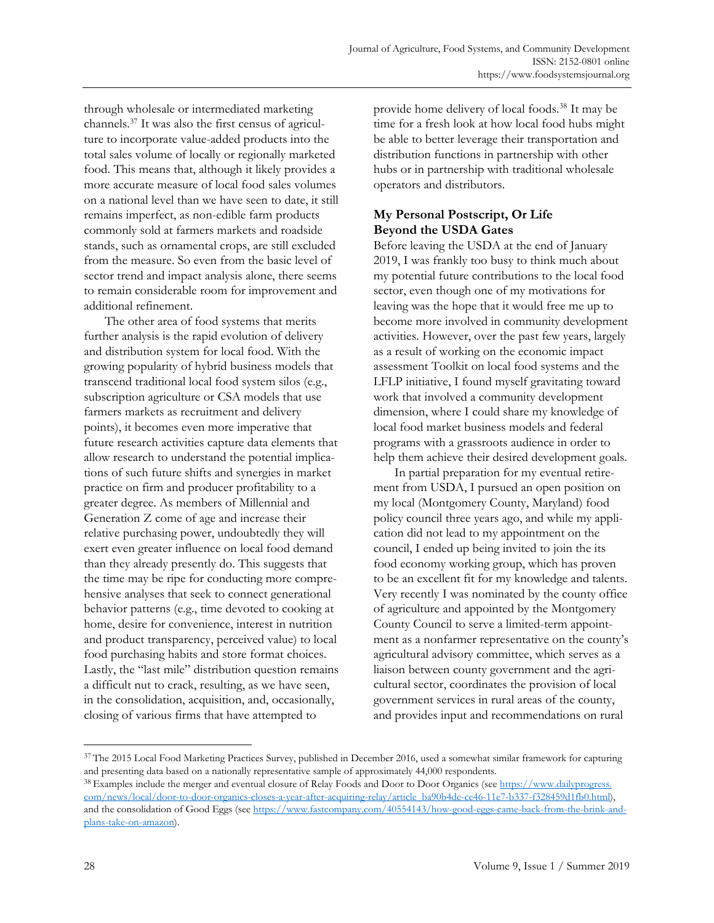through wholesale or intermediated marketing channels.37 It was also the first census of agriculture to incorporate value-added products into the total sales volume of locally or regionally marketed food. This means that, although it likely provides a more accurate measure of local food sales volumes on a national level than we have seen to date, it still remains imperfect, as non-edible farm products commonly sold at farmers markets and roadside stands, such as ornamental crops, are still excluded from the measure. So even from the basic level of sector trend and impact analysis alone, there seems to remain considerable room for improvement and additional refinement.

 The other area of food systems that merits further analysis is the rapid evolution of delivery and distribution system for local food. With the growing popularity of hybrid business models that transcend traditional local food system silos (e.g., subscription agriculture or CSA models that use farmers markets as recruitment and delivery points), it becomes even more imperative that future research activities capture data elements that allow research to understand the potential implications of such future shifts and synergies in market practice on firm and producer profitability to a greater degree. As members of Millennial and Generation Z come of age and increase their relative purchasing power, undoubtedly they will exert even greater influence on local food demand than they already presently do. This suggests that the time may be ripe for conducting more comprehensive analyses that seek to connect generational behavior patterns (e.g., time devoted to cooking at home, desire for convenience, interest in nutrition and product transparency, perceived value) to local food purchasing habits and store format choices. Lastly, the "last mile" distribution question remains a difficult nut to crack, resulting, as we have seen, in the consolidation, acquisition, and, occasionally, closing of various firms that have attempted to

provide home delivery of local foods.38 It may be time for a fresh look at how local food hubs might be able to better leverage their transportation and distribution functions in partnership with other hubs or in partnership with traditional wholesale operators and distributors.

## **My Personal Postscript, Or Life Beyond the USDA Gates**

Before leaving the USDA at the end of January 2019, I was frankly too busy to think much about my potential future contributions to the local food sector, even though one of my motivations for leaving was the hope that it would free me up to become more involved in community development activities. However, over the past few years, largely as a result of working on the economic impact assessment Toolkit on local food systems and the LFLP initiative, I found myself gravitating toward work that involved a community development dimension, where I could share my knowledge of local food market business models and federal programs with a grassroots audience in order to help them achieve their desired development goals.

 In partial preparation for my eventual retirement from USDA, I pursued an open position on my local (Montgomery County, Maryland) food policy council three years ago, and while my application did not lead to my appointment on the council, I ended up being invited to join the its food economy working group, which has proven to be an excellent fit for my knowledge and talents. Very recently I was nominated by the county office of agriculture and appointed by the Montgomery County Council to serve a limited-term appointment as a nonfarmer representative on the county's agricultural advisory committee, which serves as a liaison between county government and the agricultural sector, coordinates the provision of local government services in rural areas of the county, and provides input and recommendations on rural

<sup>&</sup>lt;sup>37</sup> The 2015 Local Food Marketing Practices Survey, published in December 2016, used a somewhat similar framework for capturing and presenting data based on a nationally representative sample of approximately 44,000 respondents.<br><sup>38</sup> Examples include the merger and eventual closure of Relay Foods and Door to Door Organics (see https://www.dailyprog

com/news/local/door-to-door-organics-closes-a-year-after-acquiring-relay/article\_ba90b4de-ce46-11e7-b337-f328459d1fb0.html), [and the consolidation of Good Eggs \(see https://www.fastcompany.com/40554143/how-good-eggs-came-back-from-the-brink-and](https://www.fastcompany.com/40554143/how-good-eggs-came-back-from-the-brink-and-plans-take-on-amazon)plans-take-on-amazon).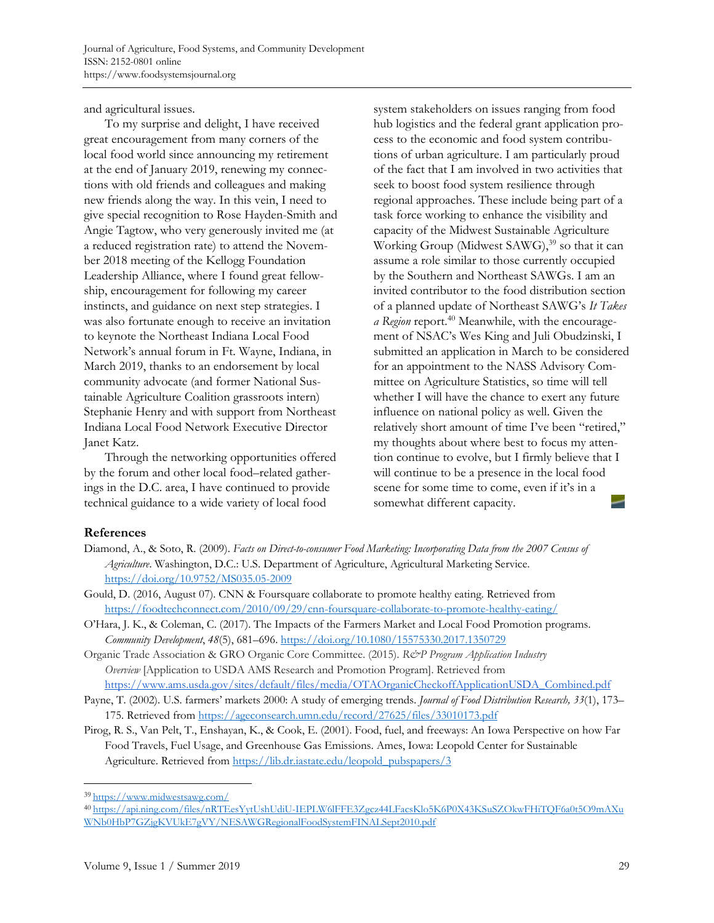and agricultural issues.

 To my surprise and delight, I have received great encouragement from many corners of the local food world since announcing my retirement at the end of January 2019, renewing my connections with old friends and colleagues and making new friends along the way. In this vein, I need to give special recognition to Rose Hayden-Smith and Angie Tagtow, who very generously invited me (at a reduced registration rate) to attend the November 2018 meeting of the Kellogg Foundation Leadership Alliance, where I found great fellowship, encouragement for following my career instincts, and guidance on next step strategies. I was also fortunate enough to receive an invitation to keynote the Northeast Indiana Local Food Network's annual forum in Ft. Wayne, Indiana, in March 2019, thanks to an endorsement by local community advocate (and former National Sustainable Agriculture Coalition grassroots intern) Stephanie Henry and with support from Northeast Indiana Local Food Network Executive Director Janet Katz.

 Through the networking opportunities offered by the forum and other local food–related gatherings in the D.C. area, I have continued to provide technical guidance to a wide variety of local food

system stakeholders on issues ranging from food hub logistics and the federal grant application process to the economic and food system contributions of urban agriculture. I am particularly proud of the fact that I am involved in two activities that seek to boost food system resilience through regional approaches. These include being part of a task force working to enhance the visibility and capacity of the Midwest Sustainable Agriculture Working Group (Midwest SAWG),<sup>39</sup> so that it can assume a role similar to those currently occupied by the Southern and Northeast SAWGs. I am an invited contributor to the food distribution section of a planned update of Northeast SAWG's *It Takes a Region* report.40 Meanwhile, with the encouragement of NSAC's Wes King and Juli Obudzinski, I submitted an application in March to be considered for an appointment to the NASS Advisory Committee on Agriculture Statistics, so time will tell whether I will have the chance to exert any future influence on national policy as well. Given the relatively short amount of time I've been "retired," my thoughts about where best to focus my attention continue to evolve, but I firmly believe that I will continue to be a presence in the local food scene for some time to come, even if it's in a somewhat different capacity.

#### **References**

- Diamond, A., & Soto, R. (2009). *Facts on Direct-to-consumer Food Marketing: Incorporating Data from the 2007 Census of Agriculture*. Washington, D.C.: U.S. Department of Agriculture, Agricultural Marketing Service. https://doi.org/10.9752/MS035.05-2009
- Gould, D. (2016, August 07). CNN & Foursquare collaborate to promote healthy eating. Retrieved from https://foodtechconnect.com/2010/09/29/cnn-foursquare-collaborate-to-promote-healthy-eating/
- O'Hara, J. K., & Coleman, C. (2017). The Impacts of the Farmers Market and Local Food Promotion programs. *Community Development*, *48*(5), 681–696. https://doi.org/10.1080/15575330.2017.1350729
- Organic Trade Association & GRO Organic Core Committee. (2015). *R&P Program Application Industry Overview* [Application to USDA AMS Research and Promotion Program]. Retrieved from https://www.ams.usda.gov/sites/default/files/media/OTAOrganicCheckoffApplicationUSDA\_Combined.pdf
- Payne, T. (2002). U.S. farmers' markets 2000: A study of emerging trends. *Journal of Food Distribution Research, 33*(1), 173– 175. Retrieved from https://ageconsearch.umn.edu/record/27625/files/33010173.pdf
- Pirog, R. S., Van Pelt, T., Enshayan, K., & Cook, E. (2001). Food, fuel, and freeways: An Iowa Perspective on how Far Food Travels, Fuel Usage, and Greenhouse Gas Emissions. Ames, Iowa: Leopold Center for Sustainable Agriculture. Retrieved from https://lib.dr.iastate.edu/leopold\_pubspapers/3

<sup>39</sup> https://www.midwestsawg.com/ [40 https://api.ning.com/files/nRTEesYytUshUdiU-IEPLW6lFFE3Zgcz44LFacsKlo5K6P0X43KSuSZOkwFHiTQF6a0t5O9mAXu](https://api.ning.com/files/nRTEesYytUshUdiU-IEPLW6lFFE3Zgcz44LFacsKlo5K6P0X43KSuSZOkwFHiTQF6a0t5O9mAXuWNb0HbP7GZjgKVUkE7gVY/NESAWGRegionalFoodSystemFINALSept2010.pdf) WNb0HbP7GZjgKVUkE7gVY/NESAWGRegionalFoodSystemFINALSept2010.pdf